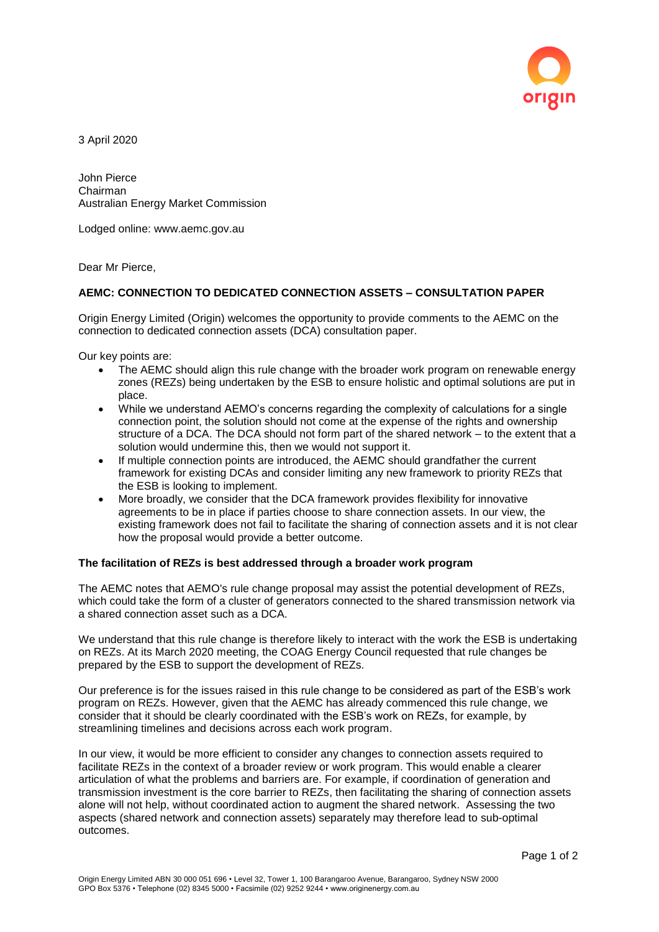

3 April 2020

John Pierce Chairman Australian Energy Market Commission

Lodged online: www.aemc.gov.au

Dear Mr Pierce,

## **AEMC: CONNECTION TO DEDICATED CONNECTION ASSETS – CONSULTATION PAPER**

Origin Energy Limited (Origin) welcomes the opportunity to provide comments to the AEMC on the connection to dedicated connection assets (DCA) consultation paper.

Our key points are:

- The AEMC should align this rule change with the broader work program on renewable energy zones (REZs) being undertaken by the ESB to ensure holistic and optimal solutions are put in place.
- While we understand AEMO's concerns regarding the complexity of calculations for a single connection point, the solution should not come at the expense of the rights and ownership structure of a DCA. The DCA should not form part of the shared network – to the extent that a solution would undermine this, then we would not support it.
- If multiple connection points are introduced, the AEMC should grandfather the current framework for existing DCAs and consider limiting any new framework to priority REZs that the ESB is looking to implement.
- More broadly, we consider that the DCA framework provides flexibility for innovative agreements to be in place if parties choose to share connection assets. In our view, the existing framework does not fail to facilitate the sharing of connection assets and it is not clear how the proposal would provide a better outcome.

## **The facilitation of REZs is best addressed through a broader work program**

The AEMC notes that AEMO's rule change proposal may assist the potential development of REZs, which could take the form of a cluster of generators connected to the shared transmission network via a shared connection asset such as a DCA.

We understand that this rule change is therefore likely to interact with the work the ESB is undertaking on REZs. At its March 2020 meeting, the COAG Energy Council requested that rule changes be prepared by the ESB to support the development of REZs.

Our preference is for the issues raised in this rule change to be considered as part of the ESB's work program on REZs. However, given that the AEMC has already commenced this rule change, we consider that it should be clearly coordinated with the ESB's work on REZs, for example, by streamlining timelines and decisions across each work program.

In our view, it would be more efficient to consider any changes to connection assets required to facilitate REZs in the context of a broader review or work program. This would enable a clearer articulation of what the problems and barriers are. For example, if coordination of generation and transmission investment is the core barrier to REZs, then facilitating the sharing of connection assets alone will not help, without coordinated action to augment the shared network. Assessing the two aspects (shared network and connection assets) separately may therefore lead to sub-optimal outcomes.